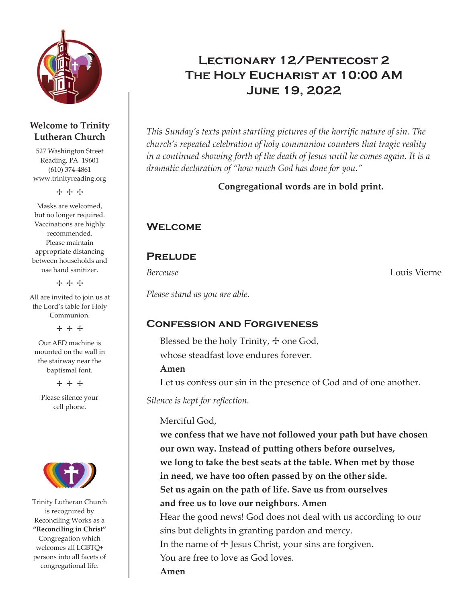

#### **Welcome to Trinity Lutheran Church**

527 Washington Street Reading, PA 19601 (610) 374-4861 www.trinityreading.org

+ + +

Masks are welcomed, but no longer required. Vaccinations are highly recommended. Please maintain appropriate distancing between households and use hand sanitizer.

+ + +

All are invited to join us at the Lord's table for Holy Communion.

+ + +

Our AED machine is mounted on the wall in the stairway near the baptismal font.

+ + +

Please silence your cell phone.



Trinity Lutheran Church is recognized by Reconciling Works as a **"Reconciling in Christ"** Congregation which welcomes all LGBTQ+ persons into all facets of congregational life.

# Lectionary 12/Pentecost 2 The Holy Eucharist at 10:00 AM June 19, 2022

*This Sunday's texts paint startling pictures of the horrific nature of sin. The church's repeated celebration of holy communion counters that tragic reality in a continued showing forth of the death of Jesus until he comes again. It is a dramatic declaration of "how much God has done for you."*

**Congregational words are in bold print.**

# **WELCOME**

## **PRELUDE**

*Berceuse* Louis Vierne

*Please stand as you are able.*

## Confession and Forgiveness

Blessed be the holy Trinity,  $+$  one God, whose steadfast love endures forever.

#### **Amen**

Let us confess our sin in the presence of God and of one another.

*Silence is kept for reflection.*

#### Merciful God,

**we confess that we have not followed your path but have chosen our own way. Instead of putting others before ourselves, we long to take the best seats at the table. When met by those in need, we have too often passed by on the other side. Set us again on the path of life. Save us from ourselves and free us to love our neighbors. Amen** Hear the good news! God does not deal with us according to our sins but delights in granting pardon and mercy. In the name of  $+$  Jesus Christ, your sins are forgiven. You are free to love as God loves. **Amen**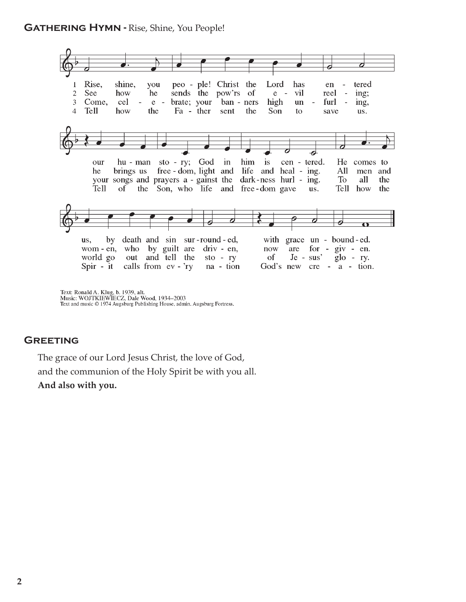

Text: Ronald A. Klug, b. 1939, alt.<br>Music: WOJTKIEWIECZ, Dale Wood, 1934–2003<br>Text and music © 1974 Augsburg Publishing House, admin. Augsburg Fortress.

#### **GREETING**

The grace of our Lord Jesus Christ, the love of God, and the communion of the Holy Spirit be with you all. **And also with you.**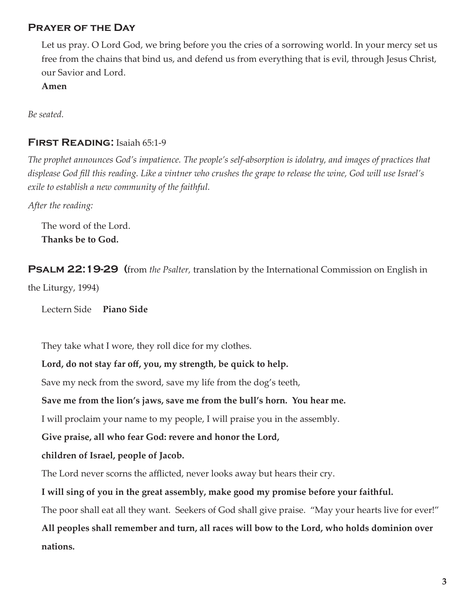## Prayer of the Day

Let us pray. O Lord God, we bring before you the cries of a sorrowing world. In your mercy set us free from the chains that bind us, and defend us from everything that is evil, through Jesus Christ, our Savior and Lord.

**Amen**

*Be seated.*

#### FIRST READING: Isaiah 65:1-9

*The prophet announces God's impatience. The people's self-absorption is idolatry, and images of practices that displease God fill this reading. Like a vintner who crushes the grape to release the wine, God will use Israel's exile to establish a new community of the faithful.*

*After the reading:*

The word of the Lord. **Thanks be to God.**

Psalm 22:19-29 (from *the Psalter,* translation by the International Commission on English in the Liturgy, 1994)

Lectern Side**Piano Side**

They take what I wore, they roll dice for my clothes.

**Lord, do not stay far off, you, my strength, be quick to help.**

Save my neck from the sword, save my life from the dog's teeth,

#### **Save me from the lion's jaws, save me from the bull's horn. You hear me.**

I will proclaim your name to my people, I will praise you in the assembly.

**Give praise, all who fear God: revere and honor the Lord,** 

**children of Israel, people of Jacob.**

The Lord never scorns the afflicted, never looks away but hears their cry.

#### **I will sing of you in the great assembly, make good my promise before your faithful.**

The poor shall eat all they want. Seekers of God shall give praise. "May your hearts live for ever!"

**All peoples shall remember and turn, all races will bow to the Lord, who holds dominion over nations.**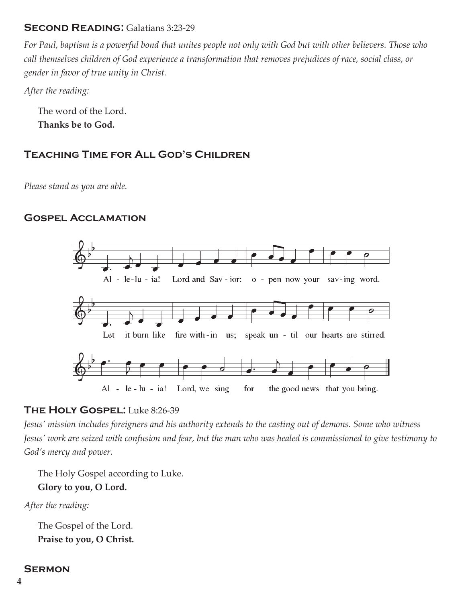## Second Reading: Galatians 3:23-29

*For Paul, baptism is a powerful bond that unites people not only with God but with other believers. Those who call themselves children of God experience a transformation that removes prejudices of race, social class, or gender in favor of true unity in Christ.*

*After the reading:*

The word of the Lord. **Thanks be to God.**

## Teaching Time for All God's Children

*Please stand as you are able.*

## Gospel Acclamation



## THE HOLY GOSPEL: Luke 8:26-39

*Jesus' mission includes foreigners and his authority extends to the casting out of demons. Some who witness Jesus' work are seized with confusion and fear, but the man who was healed is commissioned to give testimony to God's mercy and power.*

The Holy Gospel according to Luke. **Glory to you, O Lord.**

*After the reading:*

The Gospel of the Lord. **Praise to you, O Christ.**

#### **SERMON**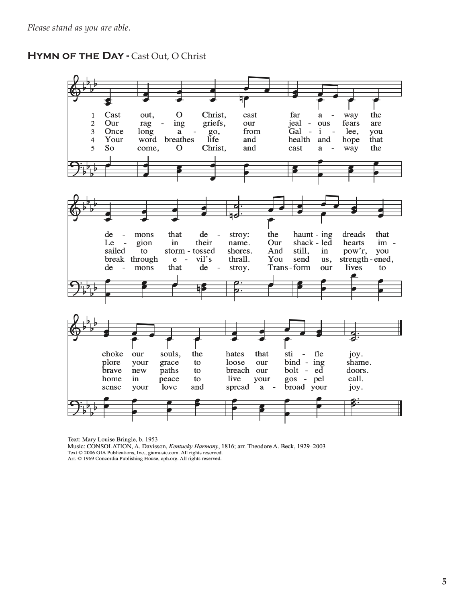#### HYMN OF THE DAY - Cast Out, O Christ



Text: Mary Louise Bringle, b. 1953

Music: CONSOLATION, A. Davisson, Kentucky Harmony, 1816; arr. Theodore A. Beck, 1929-2003 Text © 2006 GIA Publications, Inc., giamusic.com. All rights reserved. Arr. © 1969 Concordia Publishing House, cph.org. All rights reserved.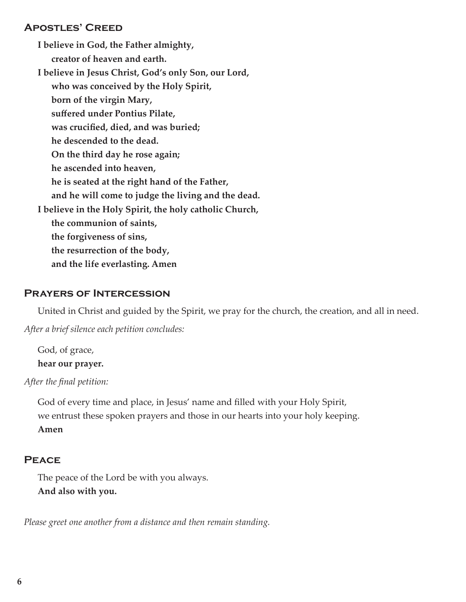#### Apostles' Creed

**I believe in God, the Father almighty, creator of heaven and earth. I believe in Jesus Christ, God's only Son, our Lord, who was conceived by the Holy Spirit, born of the virgin Mary, suffered under Pontius Pilate, was crucified, died, and was buried; he descended to the dead. On the third day he rose again; he ascended into heaven, he is seated at the right hand of the Father, and he will come to judge the living and the dead. I believe in the Holy Spirit, the holy catholic Church, the communion of saints, the forgiveness of sins, the resurrection of the body, and the life everlasting. Amen**

#### Prayers of Intercession

United in Christ and guided by the Spirit, we pray for the church, the creation, and all in need.

*After a brief silence each petition concludes:*

God, of grace, **hear our prayer.**

*After the final petition:*

God of every time and place, in Jesus' name and filled with your Holy Spirit, we entrust these spoken prayers and those in our hearts into your holy keeping. **Amen** 

## **PEACE**

The peace of the Lord be with you always. **And also with you.**

*Please greet one another from a distance and then remain standing.*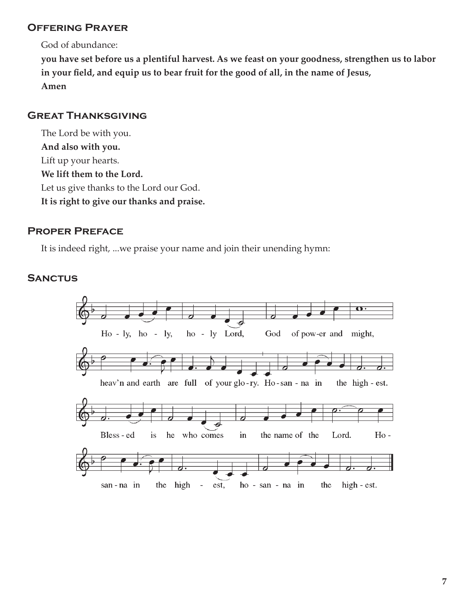## Offering Prayer

God of abundance:

**you have set before us a plentiful harvest. As we feast on your goodness, strengthen us to labor in your field, and equip us to bear fruit for the good of all, in the name of Jesus, Amen**

#### Great Thanksgiving

The Lord be with you. **And also with you.** Lift up your hearts. **We lift them to the Lord.** Let us give thanks to the Lord our God. **It is right to give our thanks and praise.**

#### Proper Preface

It is indeed right, ...we praise your name and join their unending hymn:

#### **SANCTUS**

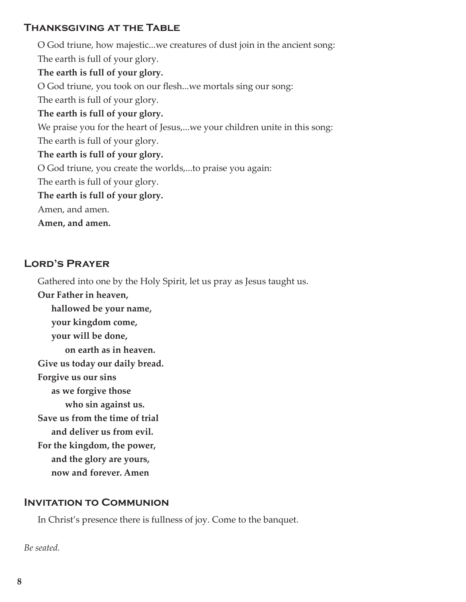## Thanksgiving at the Table

O God triune, how majestic...we creatures of dust join in the ancient song: The earth is full of your glory. **The earth is full of your glory.** O God triune, you took on our flesh...we mortals sing our song: The earth is full of your glory. **The earth is full of your glory.** We praise you for the heart of Jesus,...we your children unite in this song: The earth is full of your glory. **The earth is full of your glory.** O God triune, you create the worlds,...to praise you again: The earth is full of your glory. **The earth is full of your glory.** Amen, and amen. **Amen, and amen.**

## Lord's Prayer

Gathered into one by the Holy Spirit, let us pray as Jesus taught us.

**Our Father in heaven, hallowed be your name, your kingdom come, your will be done, on earth as in heaven. Give us today our daily bread. Forgive us our sins as we forgive those who sin against us. Save us from the time of trial and deliver us from evil. For the kingdom, the power, and the glory are yours, now and forever. Amen**

## INVITATION TO COMMUNION

In Christ's presence there is fullness of joy. Come to the banquet.

*Be seated.*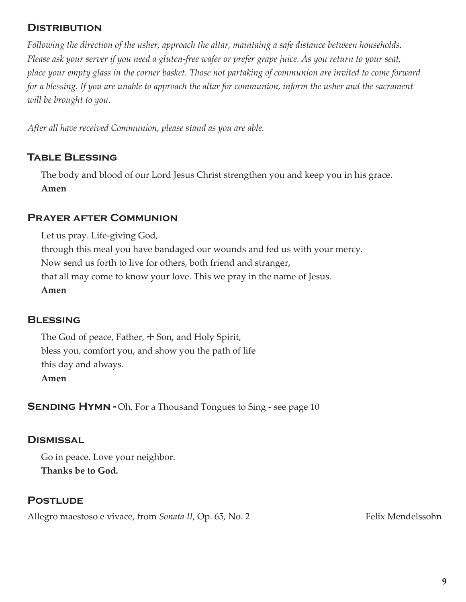## **DISTRIBUTION**

*Following the direction of the usher, approach the altar, maintaing a safe distance between households. Please ask your server if you need a gluten-free wafer or prefer grape juice. As you return to your seat, place your empty glass in the corner basket. Those not partaking of communion are invited to come forward for a blessing. If you are unable to approach the altar for communion, inform the usher and the sacrament will be brought to you.* 

*After all have received Communion, please stand as you are able.*

## Table Blessing

The body and blood of our Lord Jesus Christ strengthen you and keep you in his grace. **Amen**

#### Prayer after Communion

Let us pray. Life-giving God, through this meal you have bandaged our wounds and fed us with your mercy. Now send us forth to live for others, both friend and stranger, that all may come to know your love. This we pray in the name of Jesus. **Amen**

#### **BLESSING**

The God of peace, Father,  $+$  Son, and Holy Spirit, bless you, comfort you, and show you the path of life this day and always. **Amen**

**SENDING HYMN - Oh, For a Thousand Tongues to Sing - see page 10** 

#### **DISMISSAL**

Go in peace. Love your neighbor. **Thanks be to God.**

## **POSTLUDE**

Allegro maestoso e vivace, from *Sonata II*, Op. 65, No. 2 Felix Mendelssohn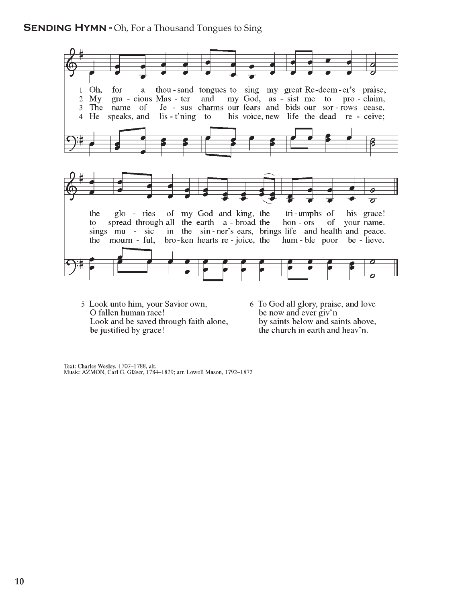#### **SENDING HYMN - Oh, For a Thousand Tongues to Sing**



- 5 Look unto him, your Savior own, O fallen human race! Look and be saved through faith alone, be justified by grace!
- 6 To God all glory, praise, and love be now and ever giv'n by saints below and saints above, the church in earth and heav'n.

Text: Charles Wesley, 1707-1788, alt.<br>Music: AZMON, Carl G. Gläser, 1784-1829; arr. Lowell Mason, 1792-1872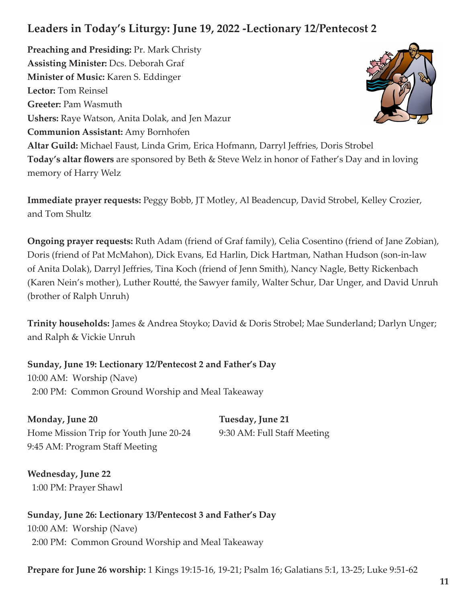# **Leaders in Today's Liturgy: June 19, 2022 -Lectionary 12/Pentecost 2**

**Preaching and Presiding:** Pr. Mark Christy **Assisting Minister:** Dcs. Deborah Graf **Minister of Music:** Karen S. Eddinger **Lector:** Tom Reinsel **Greeter:** Pam Wasmuth **Ushers:** Raye Watson, Anita Dolak, and Jen Mazur **Communion Assistant:** Amy Bornhofen **Altar Guild:** Michael Faust, Linda Grim, Erica Hofmann, Darryl Jeffries, Doris Strobel **Today's altar flowers** are sponsored by Beth & Steve Welz in honor of Father's Day and in loving memory of Harry Welz

**Immediate prayer requests:** Peggy Bobb, JT Motley, Al Beadencup, David Strobel, Kelley Crozier, and Tom Shultz

**Ongoing prayer requests:** Ruth Adam (friend of Graf family), Celia Cosentino (friend of Jane Zobian), Doris (friend of Pat McMahon), Dick Evans, Ed Harlin, Dick Hartman, Nathan Hudson (son-in-law of Anita Dolak), Darryl Jeffries, Tina Koch (friend of Jenn Smith), Nancy Nagle, Betty Rickenbach (Karen Nein's mother), Luther Routté, the Sawyer family, Walter Schur, Dar Unger, and David Unruh (brother of Ralph Unruh)

**Trinity households:** James & Andrea Stoyko; David & Doris Strobel; Mae Sunderland; Darlyn Unger; and Ralph & Vickie Unruh

**Sunday, June 19: Lectionary 12/Pentecost 2 and Father's Day** 10:00 AM: Worship (Nave) 2:00 PM: Common Ground Worship and Meal Takeaway

**Monday, June 20 Tuesday, June 21** Home Mission Trip for Youth June 20-24 9:30 AM: Full Staff Meeting 9:45 AM: Program Staff Meeting

**Wednesday, June 22** 1:00 PM: Prayer Shawl

**Sunday, June 26: Lectionary 13/Pentecost 3 and Father's Day** 10:00 AM: Worship (Nave) 2:00 PM: Common Ground Worship and Meal Takeaway